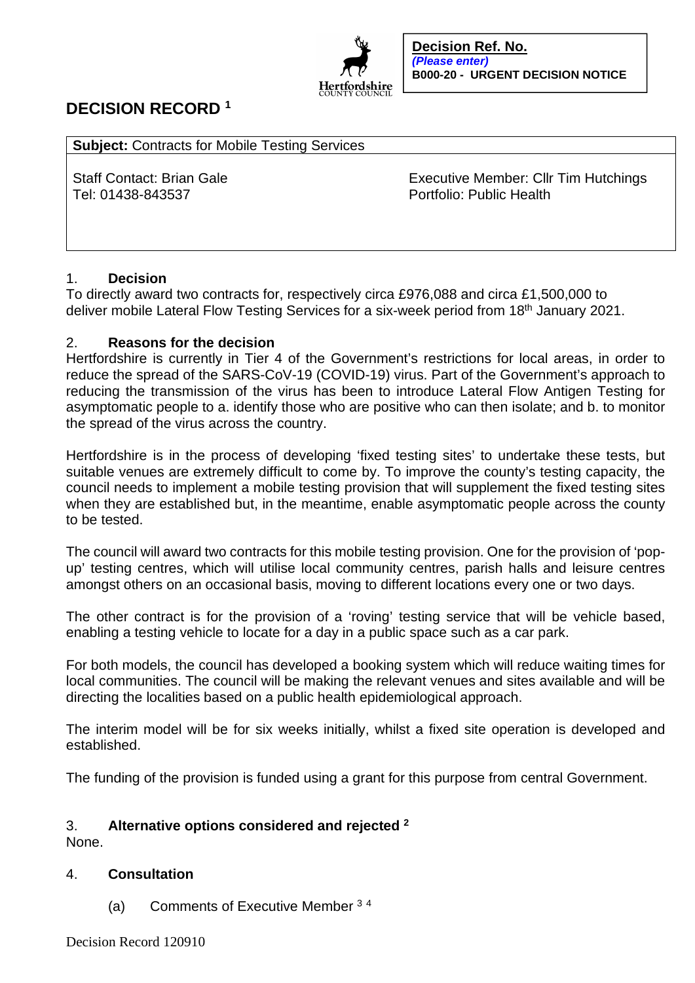

# **DECISION RECORD <sup>1</sup>**

**Subject:** Contracts for Mobile Testing Services

Tel: 01438-843537 Portfolio: Public Health

Staff Contact: Brian Gale Executive Member: Cllr Tim Hutchings

## 1. **Decision**

To directly award two contracts for, respectively circa £976,088 and circa £1,500,000 to deliver mobile Lateral Flow Testing Services for a six-week period from 18<sup>th</sup> January 2021.

## 2. **Reasons for the decision**

Hertfordshire is currently in Tier 4 of the Government's restrictions for local areas, in order to reduce the spread of the SARS-CoV-19 (COVID-19) virus. Part of the Government's approach to reducing the transmission of the virus has been to introduce Lateral Flow Antigen Testing for asymptomatic people to a. identify those who are positive who can then isolate; and b. to monitor the spread of the virus across the country.

Hertfordshire is in the process of developing 'fixed testing sites' to undertake these tests, but suitable venues are extremely difficult to come by. To improve the county's testing capacity, the council needs to implement a mobile testing provision that will supplement the fixed testing sites when they are established but, in the meantime, enable asymptomatic people across the county to be tested.

The council will award two contracts for this mobile testing provision. One for the provision of 'popup' testing centres, which will utilise local community centres, parish halls and leisure centres amongst others on an occasional basis, moving to different locations every one or two days.

The other contract is for the provision of a 'roving' testing service that will be vehicle based, enabling a testing vehicle to locate for a day in a public space such as a car park.

For both models, the council has developed a booking system which will reduce waiting times for local communities. The council will be making the relevant venues and sites available and will be directing the localities based on a public health epidemiological approach.

The interim model will be for six weeks initially, whilst a fixed site operation is developed and established.

The funding of the provision is funded using a grant for this purpose from central Government.

## 3. **Alternative options considered and rejected <sup>2</sup>**

None.

### 4. **Consultation**

(a) Comments of Executive Member <sup>3</sup> <sup>4</sup>

Decision Record 120910